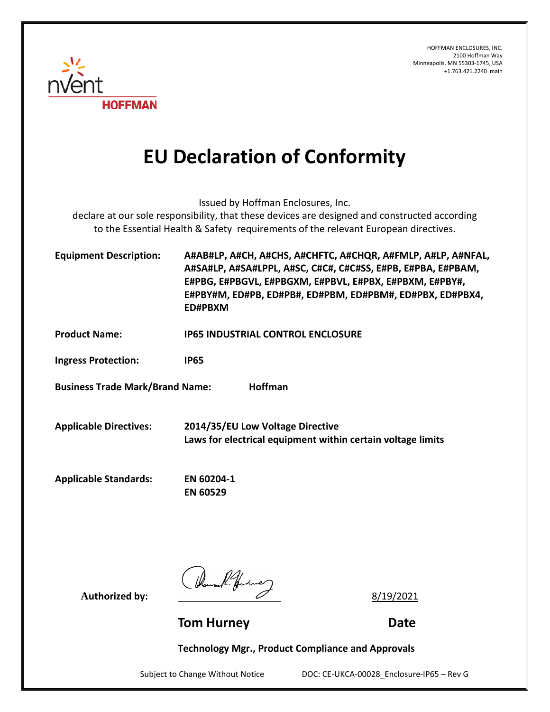HOFFMAN ENCLOSURES, INC. 2100 Hoffman Way Minneapolis, MN 55303-1745, USA +1.763.421.2240 main



## **EU Declaration of Conformity**

Issued by Hoffman Enclosures, Inc.

declare at our sole responsibility, that these devices are designed and constructed according to the Essential Health & Safety requirements of the relevant European directives.

| <b>Equipment Description:</b> | A#AB#LP, A#CH, A#CHS, A#CHFTC, A#CHQR, A#FMLP, A#LP, A#NFAL, |
|-------------------------------|--------------------------------------------------------------|
|                               | A#SA#LP, A#SA#LPPL, A#SC, C#C#, C#C#SS, E#PB, E#PBA, E#PBAM, |
|                               | E#PBG, E#PBGVL, E#PBGXM, E#PBVL, E#PBX, E#PBXM, E#PBY#,      |
|                               | E#PBY#M, ED#PB, ED#PB#, ED#PBM, ED#PBM#, ED#PBX, ED#PBX4,    |
|                               | ED#PBXM                                                      |

**Product Name: IP65 INDUSTRIAL CONTROL ENCLOSURE**

**Ingress Protection: IP65**

**Business Trade Mark/Brand Name: Hoffman**

**Applicable Directives: 2014/35/EU Low Voltage Directive Laws for electrical equipment within certain voltage limits**

**Applicable Standards: EN 60204-1**

**EN 60529**

Authorized by:  $\frac{1}{4}$   $\frac{1}{4}$   $\frac{1}{4}$   $\frac{8}{19/2021}$ 

**Tom Hurney Date** 

**Technology Mgr., Product Compliance and Approvals**

Subject to Change Without Notice DOC: CE-UKCA-00028\_Enclosure-IP65 – Rev G